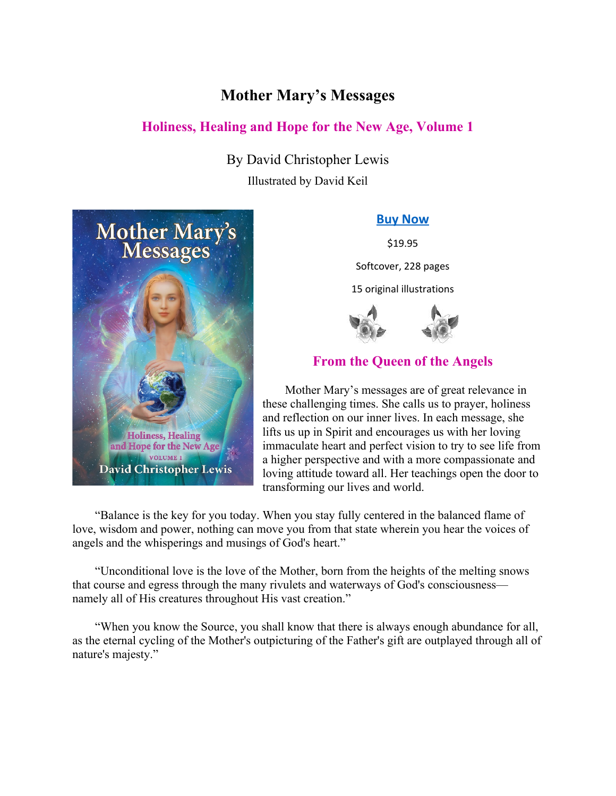## **Mother Mary's Messages**

### **Holiness, Healing and Hope for the New Age, Volume 1**

By David Christopher Lewis Illustrated by David Keil



#### **[Buy Now](https://store.heartscenter.org/Mother-Marys-Messages-P2042.aspx)**

\$19.95

Softcover, 228 pages

15 original illustrations



## **From the Queen of the Angels**

Mother Mary's messages are of great relevance in these challenging times. She calls us to prayer, holiness and reflection on our inner lives. In each message, she lifts us up in Spirit and encourages us with her loving immaculate heart and perfect vision to try to see life from a higher perspective and with a more compassionate and loving attitude toward all. Her teachings open the door to transforming our lives and world.

"Balance is the key for you today. When you stay fully centered in the balanced flame of love, wisdom and power, nothing can move you from that state wherein you hear the voices of angels and the whisperings and musings of God's heart."

"Unconditional love is the love of the Mother, born from the heights of the melting snows that course and egress through the many rivulets and waterways of God's consciousness namely all of His creatures throughout His vast creation."

"When you know the Source, you shall know that there is always enough abundance for all, as the eternal cycling of the Mother's outpicturing of the Father's gift are outplayed through all of nature's majesty."